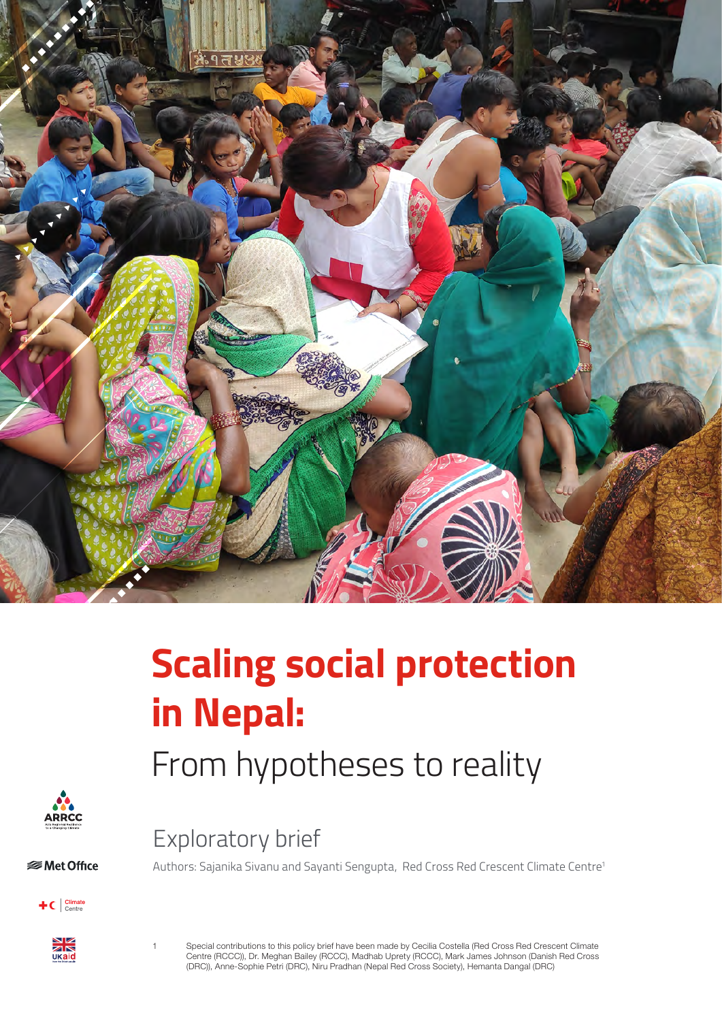

# **Scaling social protection in Nepal:**

# From hypotheses to reality

Exploratory brief



 **⊗Met Office** 





1 Special contributions to this policy brief have been made by Cecilia Costella (Red Cross Red Crescent Climate Centre (RCCC)), Dr. Meghan Bailey (RCCC), Madhab Uprety (RCCC), Mark James Johnson (Danish Red Cross (DRC)), Anne-Sophie Petri (DRC), Niru Pradhan (Nepal Red Cross Society), Hemanta Dangal (DRC)

Authors: Sajanika Sivanu and Sayanti Sengupta, Red Cross Red Crescent Climate Centre1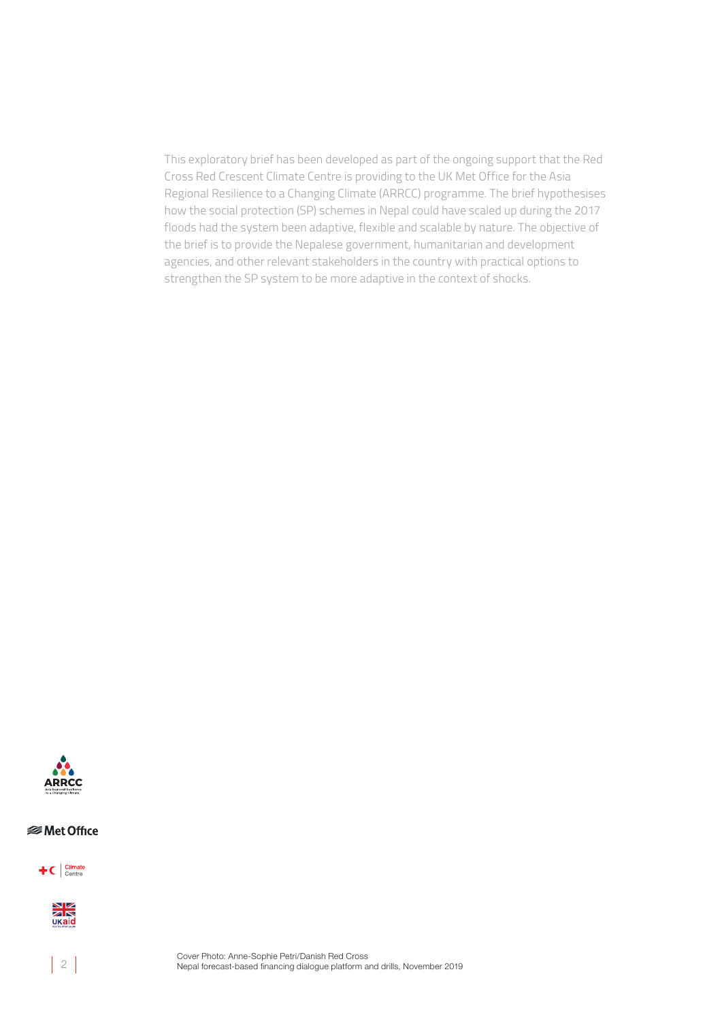This exploratory brief has been developed as part of the ongoing support that the Red Cross Red Crescent Climate Centre is providing to the UK Met Office for the Asia Regional Resilience to a Changing Climate (ARRCC) programme. The brief hypothesises how the social protection (SP) schemes in Nepal could have scaled up during the 2017 floods had the system been adaptive, flexible and scalable by nature. The objective of the brief is to provide the Nepalese government, humanitarian and development agencies, and other relevant stakeholders in the country with practical options to strengthen the SP system to be more adaptive in the context of shocks.



#### **<del></del>** Met Office





 $\vert$  2

Cover Photo: Anne-Sophie Petri/Danish Red Cross Nepal forecast-based financing dialogue platform and drills, November 2019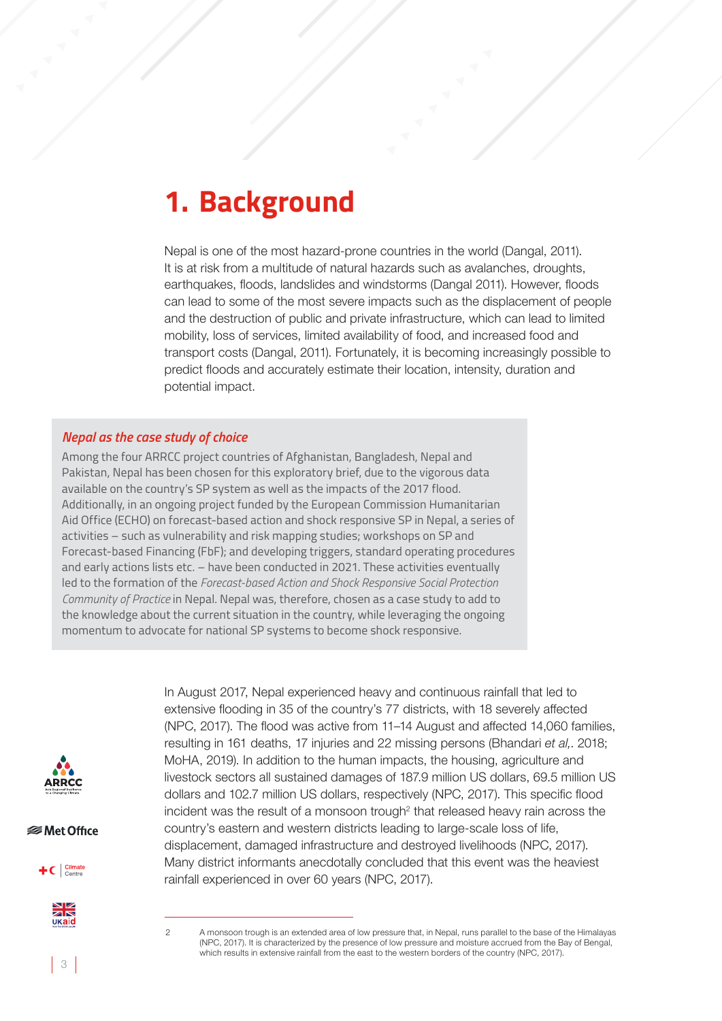### **1. Background**

Nepal is one of the most hazard-prone countries in the world (Dangal, 2011). It is at risk from a multitude of natural hazards such as avalanches, droughts, earthquakes, floods, landslides and windstorms (Dangal 2011). However, floods can lead to some of the most severe impacts such as the displacement of people and the destruction of public and private infrastructure, which can lead to limited mobility, loss of services, limited availability of food, and increased food and transport costs (Dangal, 2011). Fortunately, it is becoming increasingly possible to predict floods and accurately estimate their location, intensity, duration and potential impact.

#### *Nepal as the case study of choice*

Among the four ARRCC project countries of Afghanistan, Bangladesh, Nepal and Pakistan, Nepal has been chosen for this exploratory brief, due to the vigorous data available on the country's SP system as well as the impacts of the 2017 flood. Additionally, in an ongoing project funded by the European Commission Humanitarian Aid Office (ECHO) on forecast-based action and shock responsive SP in Nepal, a series of activities – such as vulnerability and risk mapping studies; workshops on SP and Forecast-based Financing (FbF); and developing triggers, standard operating procedures and early actions lists etc. – have been conducted in 2021. These activities eventually led to the formation of the *Forecast-based Action and Shock Responsive Social Protection Community of Practice* in Nepal. Nepal was, therefore, chosen as a case study to add to the knowledge about the current situation in the country, while leveraging the ongoing momentum to advocate for national SP systems to become shock responsive.



*<del></del>* Met Office





In August 2017, Nepal experienced heavy and continuous rainfall that led to extensive flooding in 35 of the country's 77 districts, with 18 severely affected (NPC, 2017). The flood was active from 11–14 August and affected 14,060 families, resulting in 161 deaths, 17 injuries and 22 missing persons (Bhandari *et al,*. 2018; MoHA, 2019). In addition to the human impacts, the housing, agriculture and livestock sectors all sustained damages of 187.9 million US dollars, 69.5 million US dollars and 102.7 million US dollars, respectively (NPC, 2017). This specific flood incident was the result of a monsoon trough<sup>2</sup> that released heavy rain across the country's eastern and western districts leading to large-scale loss of life, displacement, damaged infrastructure and destroyed livelihoods (NPC, 2017). Many district informants anecdotally concluded that this event was the heaviest rainfall experienced in over 60 years (NPC, 2017).

<sup>2</sup> A monsoon trough is an extended area of low pressure that, in Nepal, runs parallel to the base of the Himalayas (NPC, 2017). It is characterized by the presence of low pressure and moisture accrued from the Bay of Bengal, which results in extensive rainfall from the east to the western borders of the country (NPC, 2017).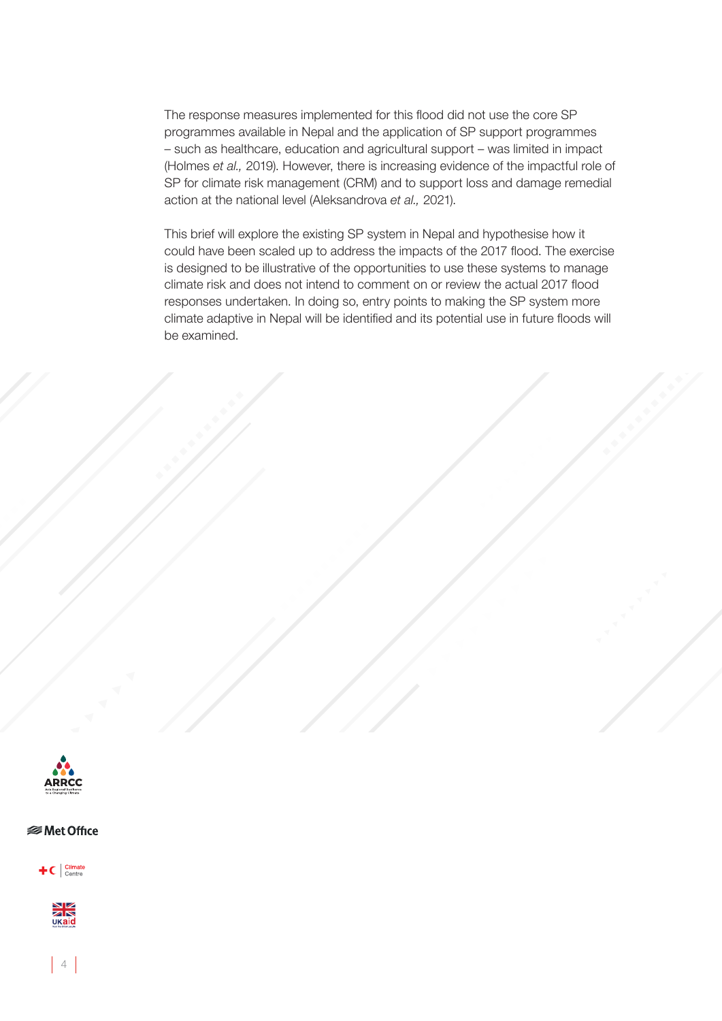The response measures implemented for this flood did not use the core SP programmes available in Nepal and the application of SP support programmes – such as healthcare, education and agricultural support – was limited in impact (Holmes *et al.,* 2019). However, there is increasing evidence of the impactful role of SP for climate risk management (CRM) and to support loss and damage remedial action at the national level (Aleksandrova *et al.,* 2021).

This brief will explore the existing SP system in Nepal and hypothesise how it could have been scaled up to address the impacts of the 2017 flood. The exercise is designed to be illustrative of the opportunities to use these systems to manage climate risk and does not intend to comment on or review the actual 2017 flood responses undertaken. In doing so, entry points to making the SP system more climate adaptive in Nepal will be identified and its potential use in future floods will be examined.



#### *<del></del>* Met Office

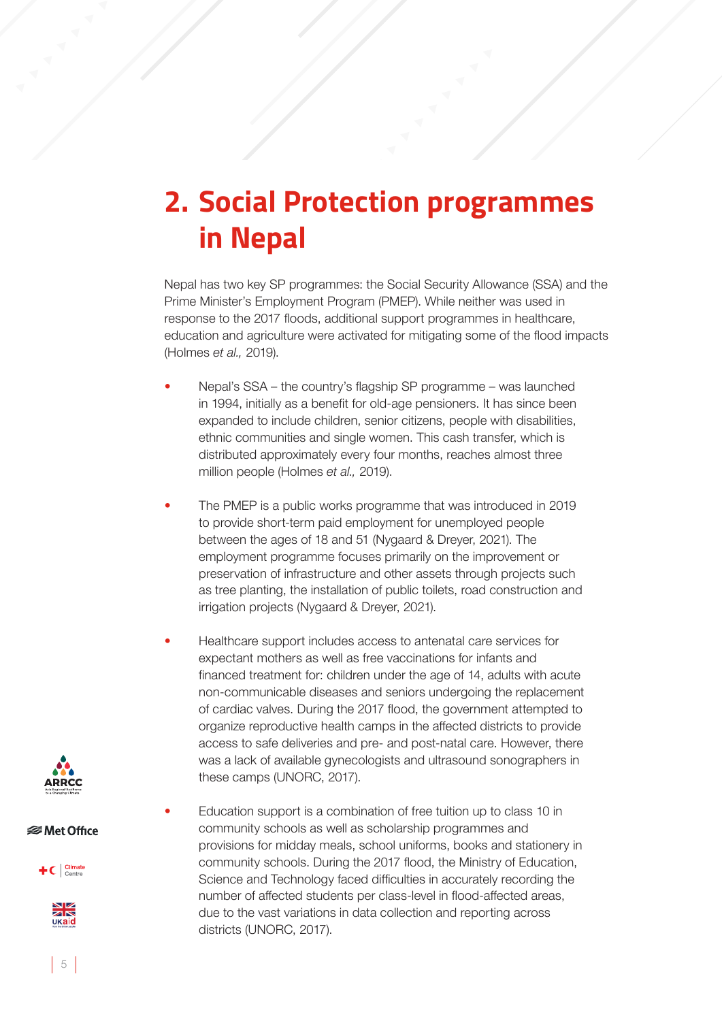### **2. Social Protection programmes in Nepal**

Nepal has two key SP programmes: the Social Security Allowance (SSA) and the Prime Minister's Employment Program (PMEP). While neither was used in response to the 2017 floods, additional support programmes in healthcare, education and agriculture were activated for mitigating some of the flood impacts (Holmes *et al.,* 2019).

- Nepal's SSA the country's flagship SP programme was launched in 1994, initially as a benefit for old-age pensioners. It has since been expanded to include children, senior citizens, people with disabilities, ethnic communities and single women. This cash transfer, which is distributed approximately every four months, reaches almost three million people (Holmes *et al.,* 2019).
- The PMEP is a public works programme that was introduced in 2019 to provide short-term paid employment for unemployed people between the ages of 18 and 51 (Nygaard & Dreyer, 2021). The employment programme focuses primarily on the improvement or preservation of infrastructure and other assets through projects such as tree planting, the installation of public toilets, road construction and irrigation projects (Nygaard & Dreyer, 2021).
- Healthcare support includes access to antenatal care services for expectant mothers as well as free vaccinations for infants and financed treatment for: children under the age of 14, adults with acute non-communicable diseases and seniors undergoing the replacement of cardiac valves. During the 2017 flood, the government attempted to organize reproductive health camps in the affected districts to provide access to safe deliveries and pre- and post-natal care. However, there was a lack of available gynecologists and ultrasound sonographers in these camps (UNORC, 2017).
	- Education support is a combination of free tuition up to class 10 in community schools as well as scholarship programmes and provisions for midday meals, school uniforms, books and stationery in community schools. During the 2017 flood, the Ministry of Education, Science and Technology faced difficulties in accurately recording the number of affected students per class-level in flood-affected areas, due to the vast variations in data collection and reporting across districts (UNORC, 2017).



*<del></del>* Met Office



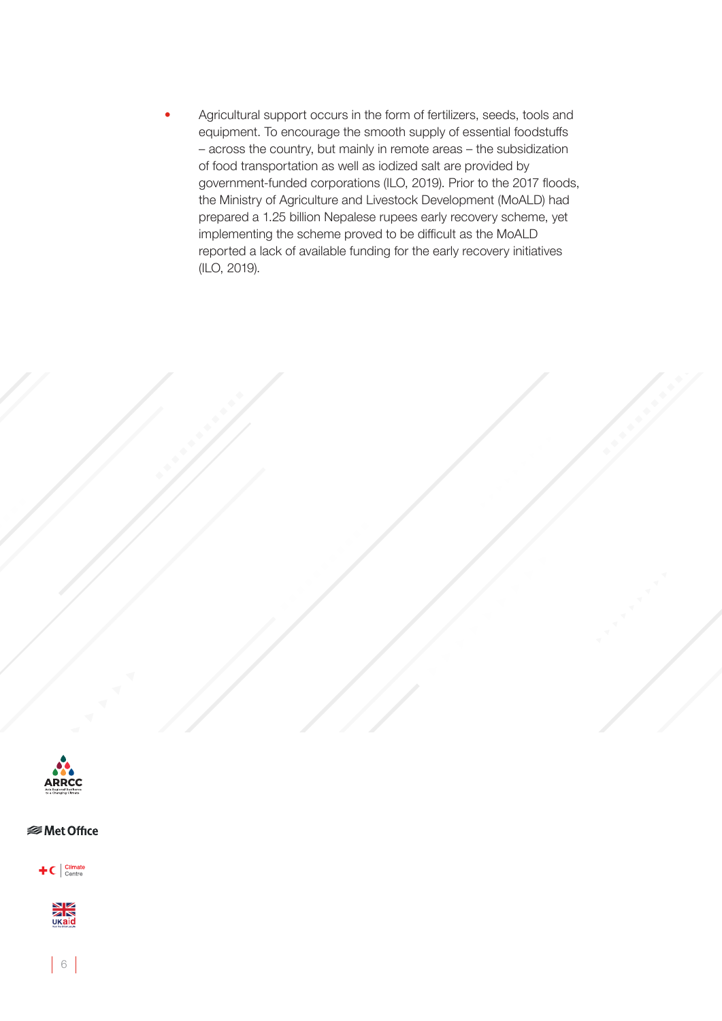• Agricultural support occurs in the form of fertilizers, seeds, tools and equipment. To encourage the smooth supply of essential foodstuffs – across the country, but mainly in remote areas – the subsidization of food transportation as well as iodized salt are provided by government-funded corporations (ILO, 2019). Prior to the 2017 floods, the Ministry of Agriculture and Livestock Development (MoALD) had prepared a 1.25 billion Nepalese rupees early recovery scheme, yet implementing the scheme proved to be difficult as the MoALD reported a lack of available funding for the early recovery initiatives (ILO, 2019).



 **⊗Met Office** 

 $\pm c$   $\int_{\text{Centre}}^{\text{Climate}}$ 



 $6<sup>1</sup>$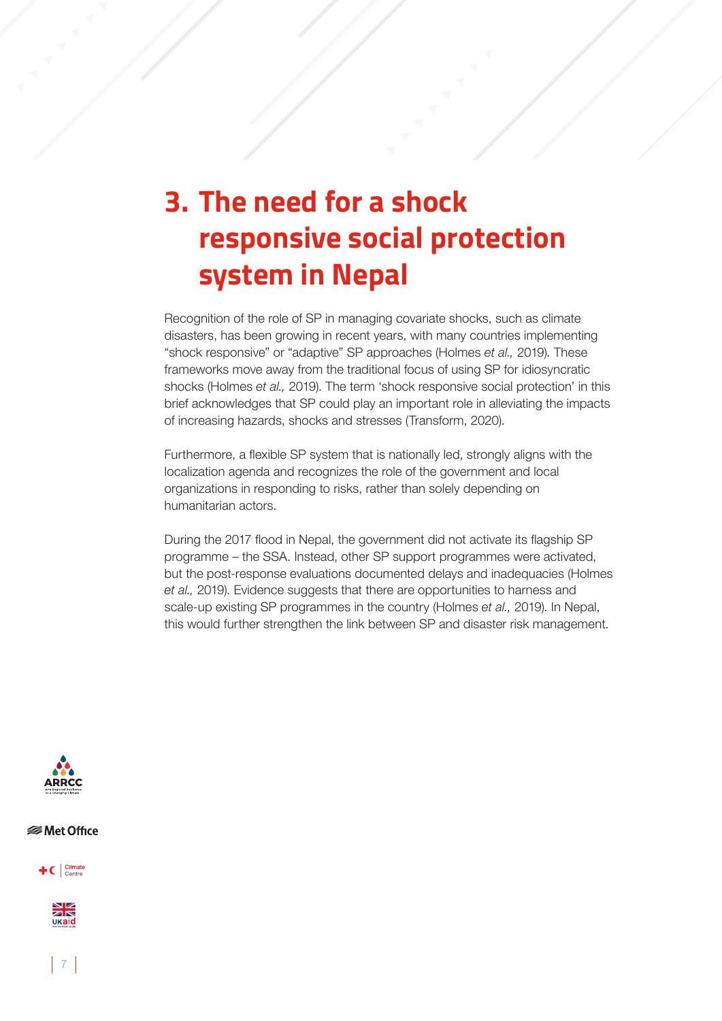## **3. The need for a shock responsive social protection system in Nepal**

Recognition of the role of SP in managing covariate shocks, such as climate disasters, has been growing in recent years, with many countries implementing "shock responsive" or "adaptive" SP approaches (Holmes *et al.,* 2019). These frameworks move away from the traditional focus of using SP for idiosyncratic shocks (Holmes *et al.,* 2019). The term 'shock responsive social protection' in this brief acknowledges that SP could play an important role in alleviating the impacts of increasing hazards, shocks and stresses (Transform, 2020).

Furthermore, a flexible SP system that is nationally led, strongly aligns with the localization agenda and recognizes the role of the government and local organizations in responding to risks, rather than solely depending on humanitarian actors.

During the 2017 flood in Nepal, the government did not activate its flagship SP programme – the SSA. Instead, other SP support programmes were activated, but the post-response evaluations documented delays and inadequacies (Holmes *et al.,* 2019). Evidence suggests that there are opportunities to harness and scale-up existing SP programmes in the country (Holmes *et al.,* 2019). In Nepal, this would further strengthen the link between SP and disaster risk management.



#### *<del></del>* Met Office

 $+C$  Climate



 $|7|$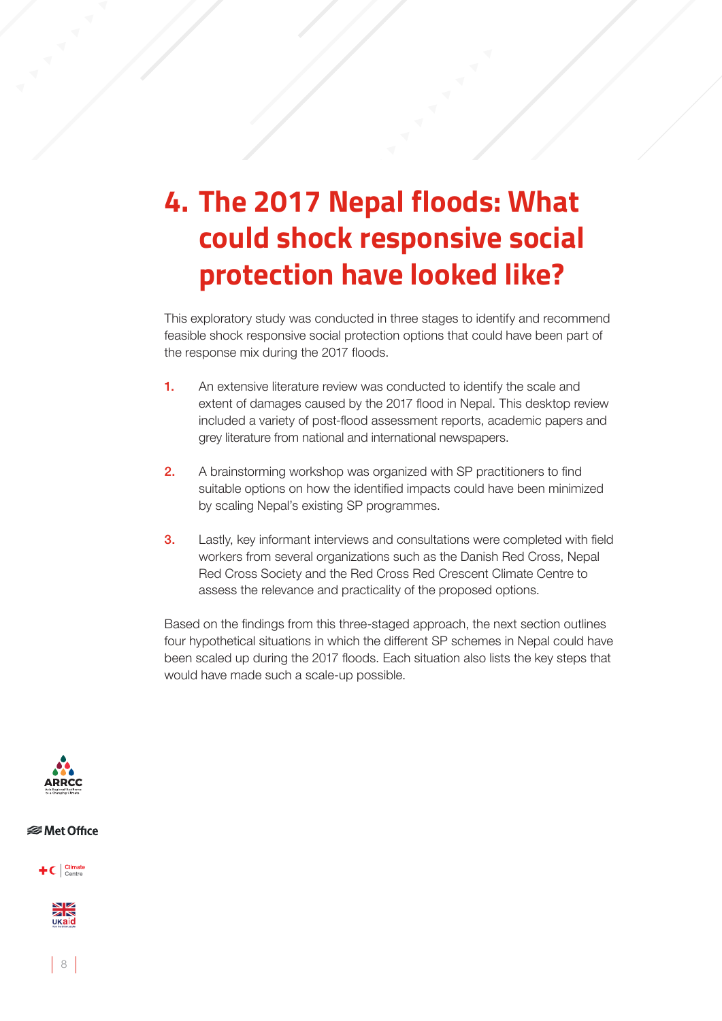# **4. The 2017 Nepal floods: What could shock responsive social protection have looked like?**

This exploratory study was conducted in three stages to identify and recommend feasible shock responsive social protection options that could have been part of the response mix during the 2017 floods.

- 1. An extensive literature review was conducted to identify the scale and extent of damages caused by the 2017 flood in Nepal. This desktop review included a variety of post-flood assessment reports, academic papers and grey literature from national and international newspapers.
- 2. A brainstorming workshop was organized with SP practitioners to find suitable options on how the identified impacts could have been minimized by scaling Nepal's existing SP programmes.
- **3.** Lastly, key informant interviews and consultations were completed with field workers from several organizations such as the Danish Red Cross, Nepal Red Cross Society and the Red Cross Red Crescent Climate Centre to assess the relevance and practicality of the proposed options.

Based on the findings from this three-staged approach, the next section outlines four hypothetical situations in which the different SP schemes in Nepal could have been scaled up during the 2017 floods. Each situation also lists the key steps that would have made such a scale-up possible.



#### *<del></del>* Met Office

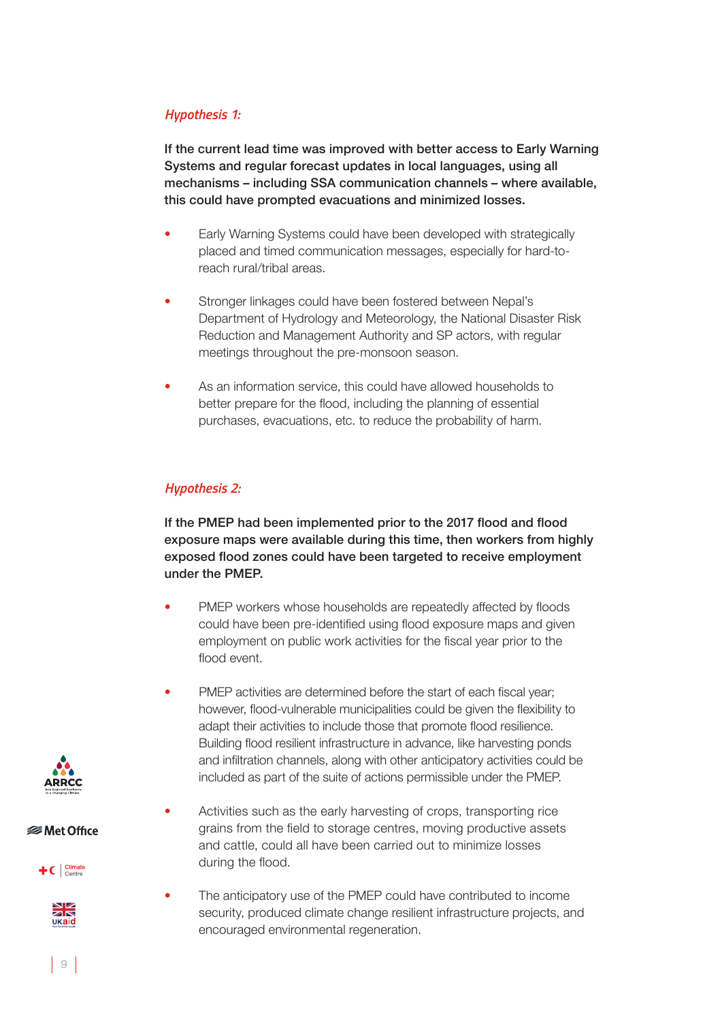#### *Hypothesis 1:*

If the current lead time was improved with better access to Early Warning Systems and regular forecast updates in local languages, using all mechanisms – including SSA communication channels – where available, this could have prompted evacuations and minimized losses.

- Early Warning Systems could have been developed with strategically placed and timed communication messages, especially for hard-toreach rural/tribal areas.
- Stronger linkages could have been fostered between Nepal's Department of Hydrology and Meteorology, the National Disaster Risk Reduction and Management Authority and SP actors, with regular meetings throughout the pre-monsoon season.
- As an information service, this could have allowed households to better prepare for the flood, including the planning of essential purchases, evacuations, etc. to reduce the probability of harm.

#### *Hypothesis 2:*

If the PMEP had been implemented prior to the 2017 flood and flood exposure maps were available during this time, then workers from highly exposed flood zones could have been targeted to receive employment under the PMEP.

- PMEP workers whose households are repeatedly affected by floods could have been pre-identified using flood exposure maps and given employment on public work activities for the fiscal year prior to the flood event.
- PMEP activities are determined before the start of each fiscal year; however, flood-vulnerable municipalities could be given the flexibility to adapt their activities to include those that promote flood resilience. Building flood resilient infrastructure in advance, like harvesting ponds and infiltration channels, along with other anticipatory activities could be included as part of the suite of actions permissible under the PMEP.
- Activities such as the early harvesting of crops, transporting rice grains from the field to storage centres, moving productive assets and cattle, could all have been carried out to minimize losses during the flood.
- The anticipatory use of the PMEP could have contributed to income security, produced climate change resilient infrastructure projects, and encouraged environmental regeneration.



#### *<del></del>* Met Office



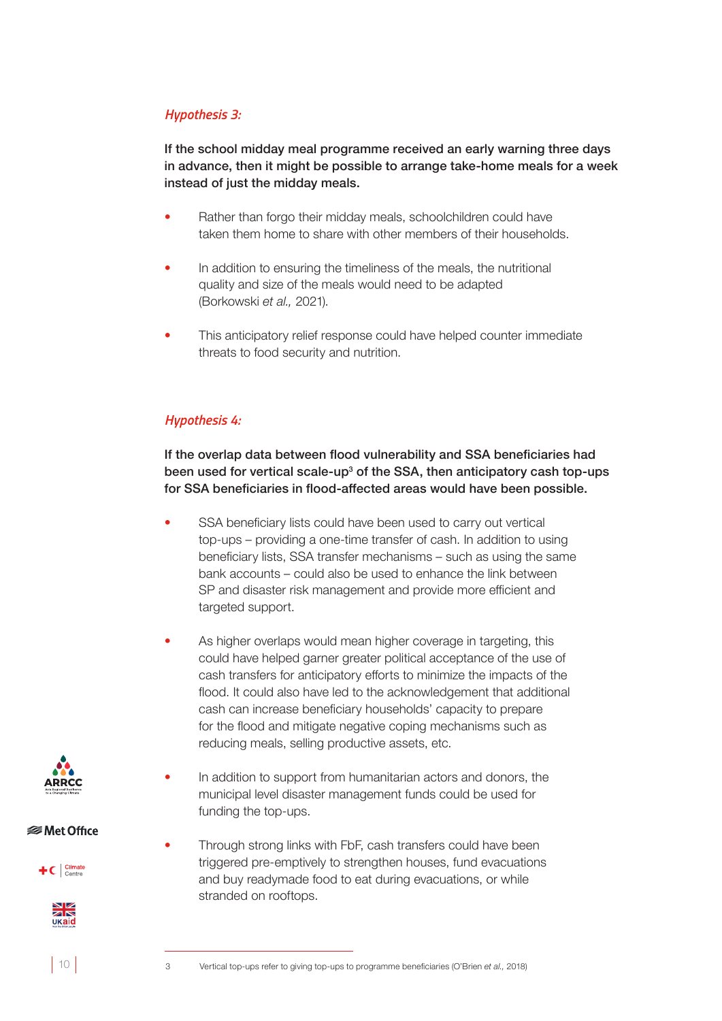#### *Hypothesis 3:*

If the school midday meal programme received an early warning three days in advance, then it might be possible to arrange take-home meals for a week instead of just the midday meals.

- Rather than forgo their midday meals, schoolchildren could have taken them home to share with other members of their households.
- In addition to ensuring the timeliness of the meals, the nutritional quality and size of the meals would need to be adapted (Borkowski *et al.,* 2021).
- This anticipatory relief response could have helped counter immediate threats to food security and nutrition.

#### *Hypothesis 4:*

If the overlap data between flood vulnerability and SSA beneficiaries had been used for vertical scale-up<sup>3</sup> of the SSA, then anticipatory cash top-ups for SSA beneficiaries in flood-affected areas would have been possible.

- SSA beneficiary lists could have been used to carry out vertical top-ups – providing a one-time transfer of cash. In addition to using beneficiary lists, SSA transfer mechanisms – such as using the same bank accounts – could also be used to enhance the link between SP and disaster risk management and provide more efficient and targeted support.
- As higher overlaps would mean higher coverage in targeting, this could have helped garner greater political acceptance of the use of cash transfers for anticipatory efforts to minimize the impacts of the flood. It could also have led to the acknowledgement that additional cash can increase beneficiary households' capacity to prepare for the flood and mitigate negative coping mechanisms such as reducing meals, selling productive assets, etc.
	- In addition to support from humanitarian actors and donors, the municipal level disaster management funds could be used for funding the top-ups.
- Through strong links with FbF, cash transfers could have been triggered pre-emptively to strengthen houses, fund evacuations and buy readymade food to eat during evacuations, or while stranded on rooftops.



**<del></del>** Met Office





 $10$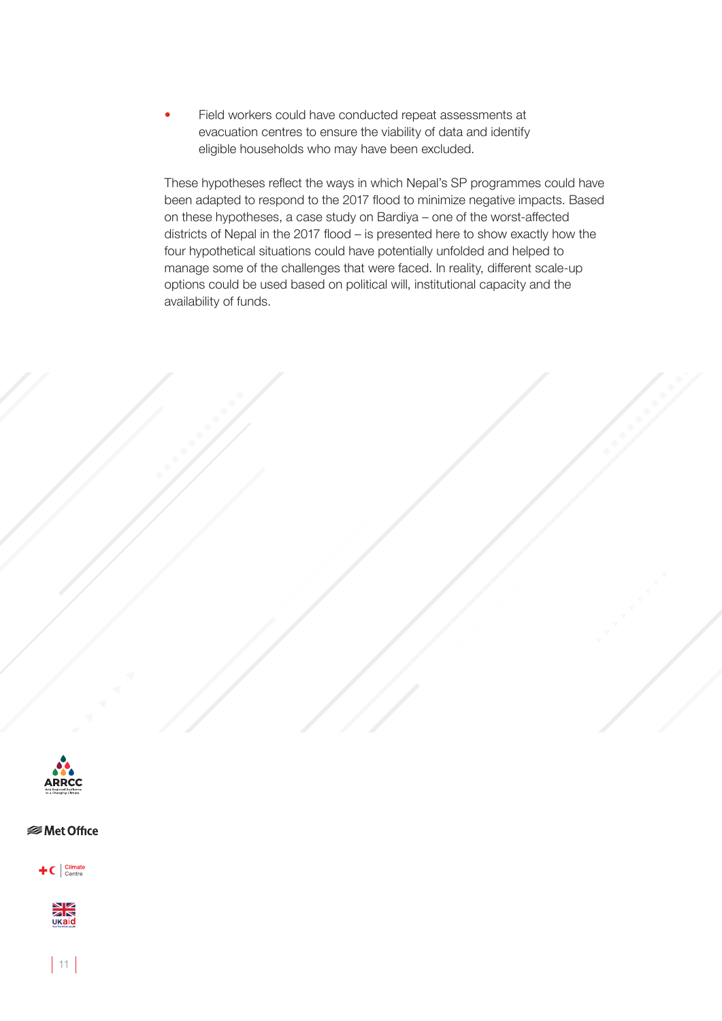• Field workers could have conducted repeat assessments at evacuation centres to ensure the viability of data and identify eligible households who may have been excluded.

These hypotheses reflect the ways in which Nepal's SP programmes could have been adapted to respond to the 2017 flood to minimize negative impacts. Based on these hypotheses, a case study on Bardiya – one of the worst-affected districts of Nepal in the 2017 flood – is presented here to show exactly how the four hypothetical situations could have potentially unfolded and helped to manage some of the challenges that were faced. In reality, different scale-up options could be used based on political will, institutional capacity and the availability of funds.



#### *<del></del>* Met Office

 $\textbf{+}$ C  $\vert$  Climate



 $|11|$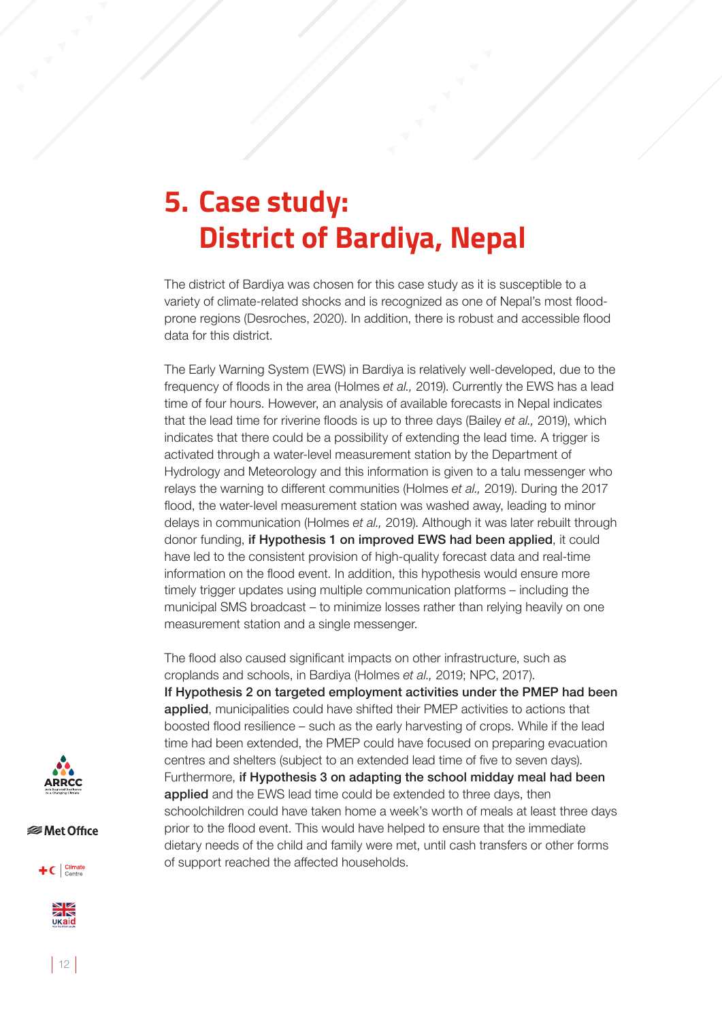### **5. Case study: District of Bardiya, Nepal**

The district of Bardiya was chosen for this case study as it is susceptible to a variety of climate-related shocks and is recognized as one of Nepal's most floodprone regions (Desroches, 2020). In addition, there is robust and accessible flood data for this district.

The Early Warning System (EWS) in Bardiya is relatively well-developed, due to the frequency of floods in the area (Holmes *et al.,* 2019). Currently the EWS has a lead time of four hours. However, an analysis of available forecasts in Nepal indicates that the lead time for riverine floods is up to three days (Bailey *et al.,* 2019), which indicates that there could be a possibility of extending the lead time. A trigger is activated through a water-level measurement station by the Department of Hydrology and Meteorology and this information is given to a talu messenger who relays the warning to different communities (Holmes *et al.,* 2019). During the 2017 flood, the water-level measurement station was washed away, leading to minor delays in communication (Holmes *et al.,* 2019). Although it was later rebuilt through donor funding, if Hypothesis 1 on improved EWS had been applied, it could have led to the consistent provision of high-quality forecast data and real-time information on the flood event. In addition, this hypothesis would ensure more timely trigger updates using multiple communication platforms – including the municipal SMS broadcast – to minimize losses rather than relying heavily on one measurement station and a single messenger.

The flood also caused significant impacts on other infrastructure, such as croplands and schools, in Bardiya (Holmes *et al.,* 2019; NPC, 2017). If Hypothesis 2 on targeted employment activities under the PMEP had been applied, municipalities could have shifted their PMEP activities to actions that boosted flood resilience – such as the early harvesting of crops. While if the lead time had been extended, the PMEP could have focused on preparing evacuation centres and shelters (subject to an extended lead time of five to seven days). Furthermore, if Hypothesis 3 on adapting the school midday meal had been applied and the EWS lead time could be extended to three days, then schoolchildren could have taken home a week's worth of meals at least three days prior to the flood event. This would have helped to ensure that the immediate dietary needs of the child and family were met, until cash transfers or other forms of support reached the affected households.



*<del></del>* Met Office

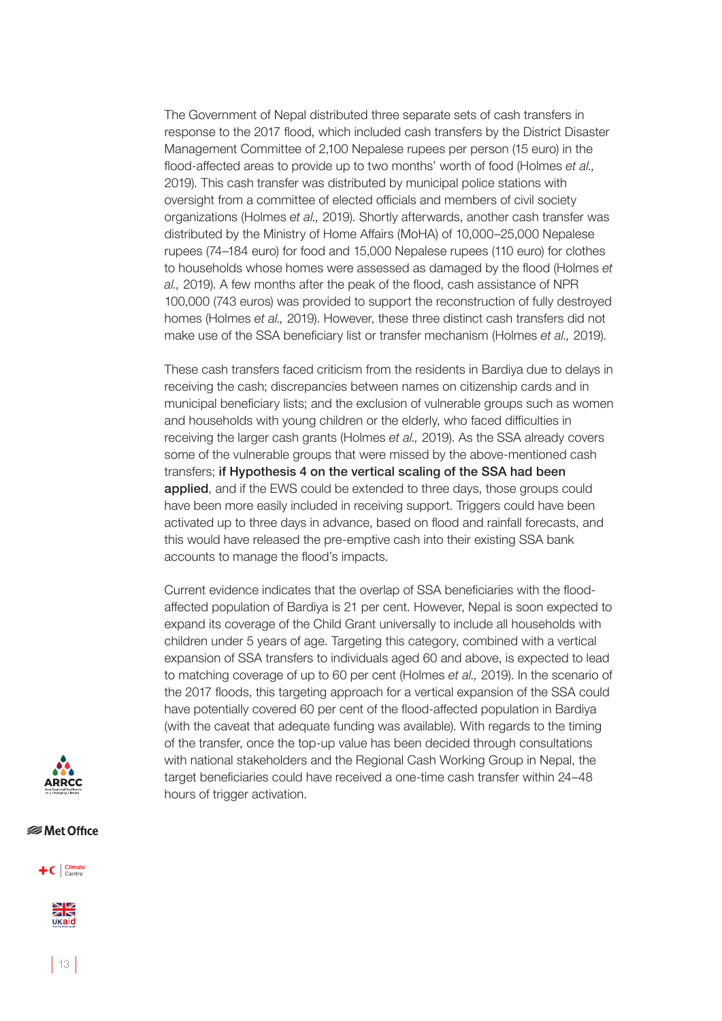The Government of Nepal distributed three separate sets of cash transfers in response to the 2017 flood, which included cash transfers by the District Disaster Management Committee of 2,100 Nepalese rupees per person (15 euro) in the flood-affected areas to provide up to two months' worth of food (Holmes *et al.,* 2019). This cash transfer was distributed by municipal police stations with oversight from a committee of elected officials and members of civil society organizations (Holmes *et al.,* 2019). Shortly afterwards, another cash transfer was distributed by the Ministry of Home Affairs (MoHA) of 10,000–25,000 Nepalese rupees (74–184 euro) for food and 15,000 Nepalese rupees (110 euro) for clothes to households whose homes were assessed as damaged by the flood (Holmes *et al.,* 2019). A few months after the peak of the flood, cash assistance of NPR 100,000 (743 euros) was provided to support the reconstruction of fully destroyed homes (Holmes *et al.,* 2019). However, these three distinct cash transfers did not make use of the SSA beneficiary list or transfer mechanism (Holmes *et al.,* 2019).

These cash transfers faced criticism from the residents in Bardiya due to delays in receiving the cash; discrepancies between names on citizenship cards and in municipal beneficiary lists; and the exclusion of vulnerable groups such as women and households with young children or the elderly, who faced difficulties in receiving the larger cash grants (Holmes *et al.,* 2019). As the SSA already covers some of the vulnerable groups that were missed by the above-mentioned cash transfers; if Hypothesis 4 on the vertical scaling of the SSA had been applied, and if the EWS could be extended to three days, those groups could have been more easily included in receiving support. Triggers could have been activated up to three days in advance, based on flood and rainfall forecasts, and this would have released the pre-emptive cash into their existing SSA bank accounts to manage the flood's impacts.

Current evidence indicates that the overlap of SSA beneficiaries with the floodaffected population of Bardiya is 21 per cent. However, Nepal is soon expected to expand its coverage of the Child Grant universally to include all households with children under 5 years of age. Targeting this category, combined with a vertical expansion of SSA transfers to individuals aged 60 and above, is expected to lead to matching coverage of up to 60 per cent (Holmes *et al.,* 2019). In the scenario of the 2017 floods, this targeting approach for a vertical expansion of the SSA could have potentially covered 60 per cent of the flood-affected population in Bardiya (with the caveat that adequate funding was available). With regards to the timing of the transfer, once the top-up value has been decided through consultations with national stakeholders and the Regional Cash Working Group in Nepal, the target beneficiaries could have received a one-time cash transfer within 24–48 hours of trigger activation.



#### *<del></del>* Met Office

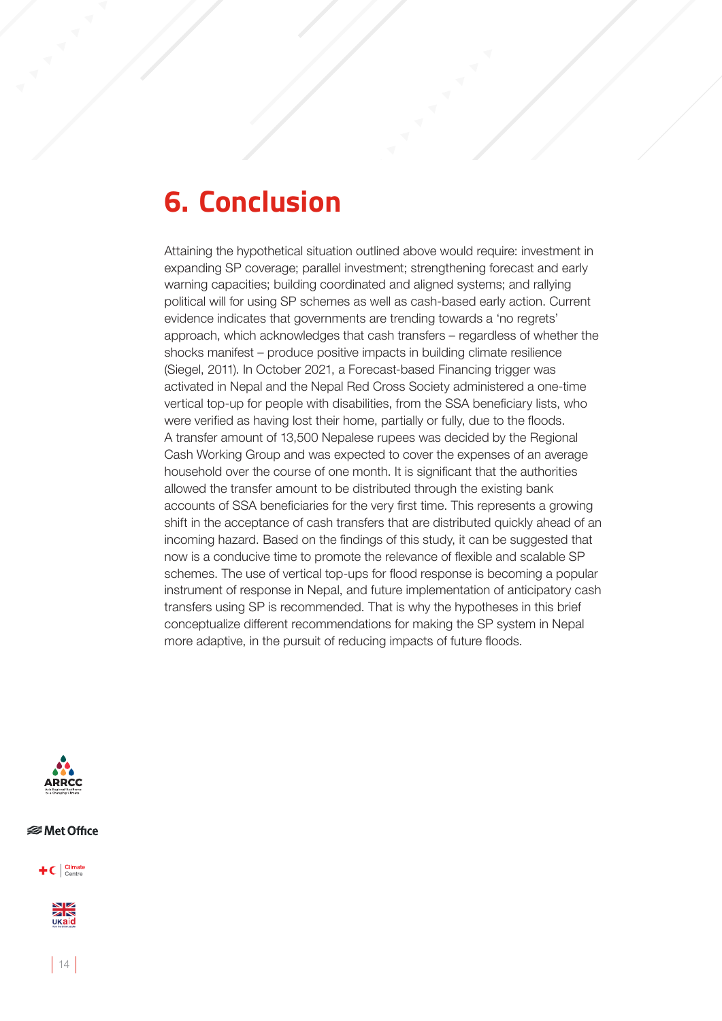### **6. Conclusion**

Attaining the hypothetical situation outlined above would require: investment in expanding SP coverage; parallel investment; strengthening forecast and early warning capacities; building coordinated and aligned systems; and rallying political will for using SP schemes as well as cash-based early action. Current evidence indicates that governments are trending towards a 'no regrets' approach, which acknowledges that cash transfers – regardless of whether the shocks manifest – produce positive impacts in building climate resilience (Siegel, 2011). In October 2021, a Forecast-based Financing trigger was activated in Nepal and the Nepal Red Cross Society administered a one-time vertical top-up for people with disabilities, from the SSA beneficiary lists, who were verified as having lost their home, partially or fully, due to the floods. A transfer amount of 13,500 Nepalese rupees was decided by the Regional Cash Working Group and was expected to cover the expenses of an average household over the course of one month. It is significant that the authorities allowed the transfer amount to be distributed through the existing bank accounts of SSA beneficiaries for the very first time. This represents a growing shift in the acceptance of cash transfers that are distributed quickly ahead of an incoming hazard. Based on the findings of this study, it can be suggested that now is a conducive time to promote the relevance of flexible and scalable SP schemes. The use of vertical top-ups for flood response is becoming a popular instrument of response in Nepal, and future implementation of anticipatory cash transfers using SP is recommended. That is why the hypotheses in this brief conceptualize different recommendations for making the SP system in Nepal more adaptive, in the pursuit of reducing impacts of future floods.



*<del></del>* Met Office

 $+C$  Climate



 $|14|$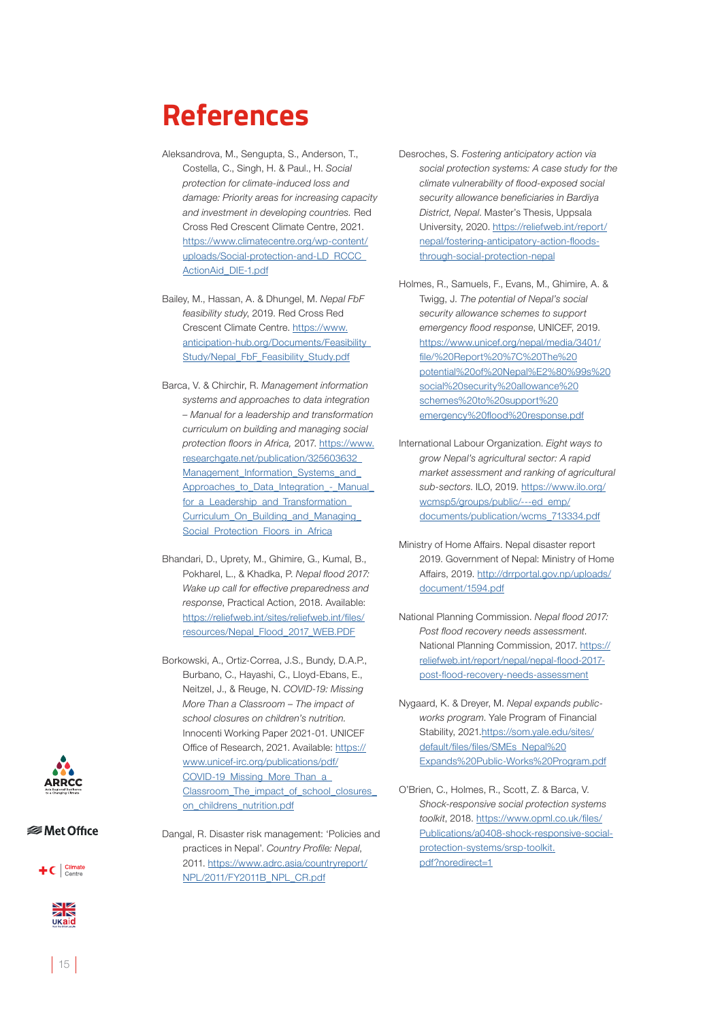### **References**

- Aleksandrova, M., Sengupta, S., Anderson, T., Costella, C., Singh, H. & Paul., H. *Social protection for climate-induced loss and damage: Priority areas for increasing capacity and investment in developing countries.* Red Cross Red Crescent Climate Centre, 2021. [https://www.climatecentre.org/wp-content/](https://www.climatecentre.org/wp-content/uploads/Social-protection-and-LD_RCCC_ActionAid_DIE-1.pdf) [uploads/Social-protection-and-LD\\_RCCC\\_](https://www.climatecentre.org/wp-content/uploads/Social-protection-and-LD_RCCC_ActionAid_DIE-1.pdf) [ActionAid\\_DIE-1.pdf](https://www.climatecentre.org/wp-content/uploads/Social-protection-and-LD_RCCC_ActionAid_DIE-1.pdf)
- Bailey, M., Hassan, A. & Dhungel, M. *Nepal FbF feasibility study*, 2019. Red Cross Red Crescent Climate Centre. [https://www.](https://www.anticipation-hub.org/Documents/Feasibility_Study/Nepal_FbF_Feasibility_Study.pdf) [anticipation-hub.org/Documents/Feasibility\\_](https://www.anticipation-hub.org/Documents/Feasibility_Study/Nepal_FbF_Feasibility_Study.pdf) [Study/Nepal\\_FbF\\_Feasibility\\_Study.pdf](https://www.anticipation-hub.org/Documents/Feasibility_Study/Nepal_FbF_Feasibility_Study.pdf)
- Barca, V. & Chirchir, R. *Management information systems and approaches to data integration – Manual for a leadership and transformation curriculum on building and managing social protection floors in Africa,* 2017. [https://www.](https://www.researchgate.net/publication/325603632_Management_Information_Systems_and_Approaches_to_Data_Integration_-_Manual_for_a_Leadership_and_Transformation_Curriculum_On_Building_and_Managing_Social_Protection_Floors_in_Africa) [researchgate.net/publication/325603632\\_](https://www.researchgate.net/publication/325603632_Management_Information_Systems_and_Approaches_to_Data_Integration_-_Manual_for_a_Leadership_and_Transformation_Curriculum_On_Building_and_Managing_Social_Protection_Floors_in_Africa) [Management\\_Information\\_Systems\\_and\\_](https://www.researchgate.net/publication/325603632_Management_Information_Systems_and_Approaches_to_Data_Integration_-_Manual_for_a_Leadership_and_Transformation_Curriculum_On_Building_and_Managing_Social_Protection_Floors_in_Africa) [Approaches\\_to\\_Data\\_Integration\\_-\\_Manual\\_](https://www.researchgate.net/publication/325603632_Management_Information_Systems_and_Approaches_to_Data_Integration_-_Manual_for_a_Leadership_and_Transformation_Curriculum_On_Building_and_Managing_Social_Protection_Floors_in_Africa) for a Leadership and Transformation Curriculum On Building and Managing Social Protection Floors in Africa
- Bhandari, D., Uprety, M., Ghimire, G., Kumal, B., Pokharel, L., & Khadka, P. *Nepal flood 2017: Wake up call for effective preparedness and response*, Practical Action, 2018. Available: [https://reliefweb.int/sites/reliefweb.int/files/](https://reliefweb.int/sites/reliefweb.int/files/resources/Nepal_Flood_2017_WEB.PDF) [resources/Nepal\\_Flood\\_2017\\_WEB.PDF](https://reliefweb.int/sites/reliefweb.int/files/resources/Nepal_Flood_2017_WEB.PDF)
- Borkowski, A., Ortiz-Correa, J.S., Bundy, D.A.P., Burbano, C., Hayashi, C., Lloyd-Ebans, E., Neitzel, J., & Reuge, N. *COVID-19: Missing More Than a Classroom – The impact of school closures on children's nutrition.* Innocenti Working Paper 2021-01. UNICEF Office of Research, 2021. Available: [https://](https://www.unicef-irc.org/publications/pdf/COVID-19_Missing_More_Than_a_Classroom_The_impact_of_school_closures_on_childrens_nutrition.pdf) [www.unicef-irc.org/publications/pdf/](https://www.unicef-irc.org/publications/pdf/COVID-19_Missing_More_Than_a_Classroom_The_impact_of_school_closures_on_childrens_nutrition.pdf) [COVID-19\\_Missing\\_More\\_Than\\_a\\_](https://www.unicef-irc.org/publications/pdf/COVID-19_Missing_More_Than_a_Classroom_The_impact_of_school_closures_on_childrens_nutrition.pdf) [Classroom\\_The\\_impact\\_of\\_school\\_closures\\_](https://www.unicef-irc.org/publications/pdf/COVID-19_Missing_More_Than_a_Classroom_The_impact_of_school_closures_on_childrens_nutrition.pdf) [on\\_childrens\\_nutrition.pdf](https://www.unicef-irc.org/publications/pdf/COVID-19_Missing_More_Than_a_Classroom_The_impact_of_school_closures_on_childrens_nutrition.pdf)
- Dangal, R. Disaster risk management: 'Policies and practices in Nepal'. *Country Profile: Nepal*, 2011. [https://www.adrc.asia/countryreport/](https://www.adrc.asia/countryreport/NPL/2011/FY2011B_NPL_CR.pdf) [NPL/2011/FY2011B\\_NPL\\_CR.pdf](https://www.adrc.asia/countryreport/NPL/2011/FY2011B_NPL_CR.pdf)
- Desroches, S. *Fostering anticipatory action via social protection systems: A case study for the climate vulnerability of flood-exposed social security allowance beneficiaries in Bardiya District, Nepal*. Master's Thesis, Uppsala University, 2020. [https://reliefweb.int/report/](https://reliefweb.int/report/nepal/fostering-anticipatory-action-floods-through-social-protection-nepal) [nepal/fostering-anticipatory-action-floods](https://reliefweb.int/report/nepal/fostering-anticipatory-action-floods-through-social-protection-nepal)[through-social-protection-nepal](https://reliefweb.int/report/nepal/fostering-anticipatory-action-floods-through-social-protection-nepal)
- Holmes, R., Samuels, F., Evans, M., Ghimire, A. & Twigg, J. *The potential of Nepal's social security allowance schemes to support emergency flood response*, UNICEF, 2019. [https://www.unicef.org/nepal/media/3401/](https://www.unicef.org/nepal/media/3401/file/%20Report%20%7C%20The%20potential%20of%20Nepal%E2%80%99s%20social%20security%20allowance%20schemes%20to%20support%20emergency%20flood%20response.pdf) [file/%20Report%20%7C%20The%20](https://www.unicef.org/nepal/media/3401/file/%20Report%20%7C%20The%20potential%20of%20Nepal%E2%80%99s%20social%20security%20allowance%20schemes%20to%20support%20emergency%20flood%20response.pdf) [potential%20of%20Nepal%E2%80%99s%20](https://www.unicef.org/nepal/media/3401/file/%20Report%20%7C%20The%20potential%20of%20Nepal%E2%80%99s%20social%20security%20allowance%20schemes%20to%20support%20emergency%20flood%20response.pdf) [social%20security%20allowance%20](https://www.unicef.org/nepal/media/3401/file/%20Report%20%7C%20The%20potential%20of%20Nepal%E2%80%99s%20social%20security%20allowance%20schemes%20to%20support%20emergency%20flood%20response.pdf) [schemes%20to%20support%20](https://www.unicef.org/nepal/media/3401/file/%20Report%20%7C%20The%20potential%20of%20Nepal%E2%80%99s%20social%20security%20allowance%20schemes%20to%20support%20emergency%20flood%20response.pdf) [emergency%20flood%20response.pdf](https://www.unicef.org/nepal/media/3401/file/%20Report%20%7C%20The%20potential%20of%20Nepal%E2%80%99s%20social%20security%20allowance%20schemes%20to%20support%20emergency%20flood%20response.pdf)
- International Labour Organization. *Eight ways to grow Nepal's agricultural sector: A rapid market assessment and ranking of agricultural sub-sectors*. ILO, 2019. [https://www.ilo.org/](https://www.ilo.org/wcmsp5/groups/public/---ed_emp/documents/publication/wcms_713334.pdf) [wcmsp5/groups/public/---ed\\_emp/](https://www.ilo.org/wcmsp5/groups/public/---ed_emp/documents/publication/wcms_713334.pdf) [documents/publication/wcms\\_713334.pdf](https://www.ilo.org/wcmsp5/groups/public/---ed_emp/documents/publication/wcms_713334.pdf)
- Ministry of Home Affairs. Nepal disaster report 2019. Government of Nepal: Ministry of Home Affairs, 2019. [http://drrportal.gov.np/uploads/](http://drrportal.gov.np/uploads/document/1594.pdf) [document/1594.pdf](http://drrportal.gov.np/uploads/document/1594.pdf)
- National Planning Commission. *Nepal flood 2017: Post flood recovery needs assessment*. National Planning Commission, 2017. [https://](https://reliefweb.int/report/nepal/nepal-flood-2017-post-flood-recovery-needs-assessment) [reliefweb.int/report/nepal/nepal-flood-2017](https://reliefweb.int/report/nepal/nepal-flood-2017-post-flood-recovery-needs-assessment) [post-flood-recovery-needs-assessment](https://reliefweb.int/report/nepal/nepal-flood-2017-post-flood-recovery-needs-assessment)
- Nygaard, K. & Dreyer, M. *Nepal expands publicworks program*. Yale Program of Financial Stability, 2021.[https://som.yale.edu/sites/](https://som.yale.edu/sites/default/files/files/SMEs_Nepal%20Expands%20Public-Works%20Program.pdf) [default/files/files/SMEs\\_Nepal%20](https://som.yale.edu/sites/default/files/files/SMEs_Nepal%20Expands%20Public-Works%20Program.pdf) [Expands%20Public-Works%20Program.pdf](https://som.yale.edu/sites/default/files/files/SMEs_Nepal%20Expands%20Public-Works%20Program.pdf)
- O'Brien, C., Holmes, R., Scott, Z. & Barca, V. *Shock-responsive social protection systems toolkit*, 2018. [https://www.opml.co.uk/files/](https://www.opml.co.uk/files/Publications/a0408-shock-responsive-social-protection-systems/srsp-toolkit.pdf?noredirect=1) [Publications/a0408-shock-responsive-social](https://www.opml.co.uk/files/Publications/a0408-shock-responsive-social-protection-systems/srsp-toolkit.pdf?noredirect=1)[protection-systems/srsp-toolkit.](https://www.opml.co.uk/files/Publications/a0408-shock-responsive-social-protection-systems/srsp-toolkit.pdf?noredirect=1) [pdf?noredirect=1](https://www.opml.co.uk/files/Publications/a0408-shock-responsive-social-protection-systems/srsp-toolkit.pdf?noredirect=1)



*<del></del>* Met Office